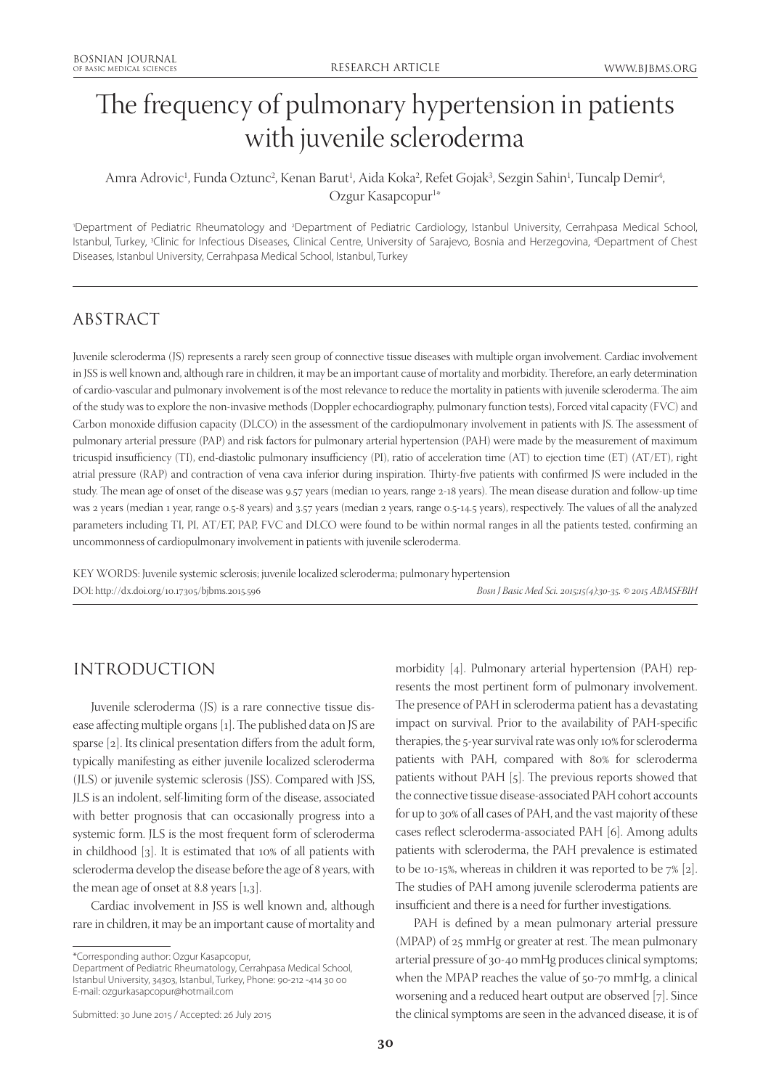# The frequency of pulmonary hypertension in patients with juvenile scleroderma

Amra Adrovic<sup>1</sup>, Funda Oztunc<sup>2</sup>, Kenan Barut<sup>1</sup>, Aida Koka<sup>2</sup>, Refet Gojak<sup>3</sup>, Sezgin Sahin<sup>1</sup>, Tuncalp Demir<sup>4</sup>, Ozgur Kasapcopur<sup>1</sup>\*

'Department of Pediatric Rheumatology and <sup>2</sup>Department of Pediatric Cardiology, Istanbul University, Cerrahpasa Medical School, Istanbul, Turkey, 3 Clinic for Infectious Diseases, Clinical Centre, University of Sarajevo, Bosnia and Herzegovina, 4 Department of Chest Diseases, Istanbul University, Cerrahpasa Medical School, Istanbul, Turkey

# ABSTRACT

Juvenile scleroderma (JS) represents a rarely seen group of connective tissue diseases with multiple organ involvement. Cardiac involvement in JSS is well known and, although rare in children, it may be an important cause of mortality and morbidity. Therefore, an early determination of cardio-vascular and pulmonary involvement is of the most relevance to reduce the mortality in patients with juvenile scleroderma. The aim of the study was to explore the non-invasive methods (Doppler echocardiography, pulmonary function tests), Forced vital capacity (FVC) and Carbon monoxide diffusion capacity (DLCO) in the assessment of the cardiopulmonary involvement in patients with JS. The assessment of pulmonary arterial pressure (PAP) and risk factors for pulmonary arterial hypertension (PAH) were made by the measurement of maximum tricuspid insufficiency (TI), end-diastolic pulmonary insufficiency (PI), ratio of acceleration time (AT) to ejection time (ET) (AT/ET), right atrial pressure (RAP) and contraction of vena cava inferior during inspiration. Thirty-five patients with confirmed JS were included in the study. The mean age of onset of the disease was 9.57 years (median 10 years, range 2-18 years). The mean disease duration and follow-up time was 2 years (median 1 year, range 0.5-8 years) and 3.57 years (median 2 years, range 0.5-14.5 years), respectively. The values of all the analyzed parameters including TI, PI, AT/ET, PAP, FVC and DLCO were found to be within normal ranges in all the patients tested, confirming an uncommonness of cardiopulmonary involvement in patients with juvenile scleroderma.

KEY WORDS: Juvenile systemic sclerosis; juvenile localized scleroderma; pulmonary hypertension DOI: http://dx.doi.org/10.17305/bjbms.2015.596 *Bosn J Basic Med Sci. 2015;15(4):30-35. © 2015 ABMSFBIH*

## INTRODUCTION

Juvenile scleroderma (JS) is a rare connective tissue disease affecting multiple organs [1]. The published data on JS are sparse [2]. Its clinical presentation differs from the adult form, typically manifesting as either juvenile localized scleroderma (JLS) or juvenile systemic sclerosis (JSS). Compared with JSS, JLS is an indolent, self-limiting form of the disease, associated with better prognosis that can occasionally progress into a systemic form. JLS is the most frequent form of scleroderma in childhood [3]. It is estimated that 10% of all patients with scleroderma develop the disease before the age of 8 years, with the mean age of onset at 8.8 years  $[1,3]$ .

Cardiac involvement in JSS is well known and, although rare in children, it may be an important cause of mortality and

Department of Pediatric Rheumatology, Cerrahpasa Medical School, Istanbul University, 34303, Istanbul, Turkey, Phone: 90-212 -414 30 00 E-mail: ozgurkasapcopur@hotmail.com

Submitted: 30 June 2015 / Accepted: 26 July 2015

morbidity [4]. Pulmonary arterial hypertension (PAH) represents the most pertinent form of pulmonary involvement. The presence of PAH in scleroderma patient has a devastating impact on survival. Prior to the availability of PAH-specific therapies, the 5-year survival rate was only 10% for scleroderma patients with PAH, compared with 80% for scleroderma patients without PAH [5]. The previous reports showed that the connective tissue disease-associated PAH cohort accounts for up to 30% of all cases of PAH, and the vast majority of these cases reflect scleroderma-associated PAH [6]. Among adults patients with scleroderma, the PAH prevalence is estimated to be 10-15%, whereas in children it was reported to be 7% [2]. The studies of PAH among juvenile scleroderma patients are insufficient and there is a need for further investigations.

PAH is defined by a mean pulmonary arterial pressure (MPAP) of 25 mmHg or greater at rest. The mean pulmonary arterial pressure of 30-40 mmHg produces clinical symptoms; when the MPAP reaches the value of 50-70 mmHg, a clinical worsening and a reduced heart output are observed [7]. Since the clinical symptoms are seen in the advanced disease, it is of

<sup>\*</sup>Corresponding author: Ozgur Kasapcopur,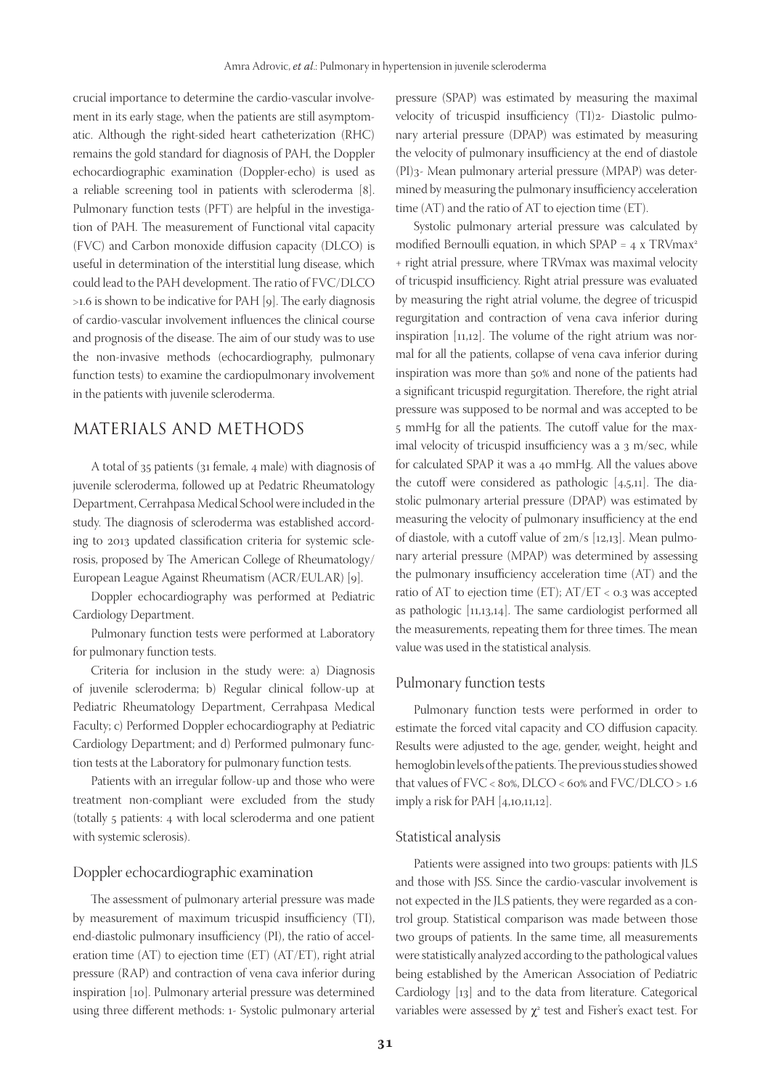crucial importance to determine the cardio-vascular involvement in its early stage, when the patients are still asymptomatic. Although the right-sided heart catheterization (RHC) remains the gold standard for diagnosis of PAH, the Doppler echocardiographic examination (Doppler-echo) is used as a reliable screening tool in patients with scleroderma [8]. Pulmonary function tests (PFT) are helpful in the investigation of PAH. The measurement of Functional vital capacity (FVC) and Carbon monoxide diffusion capacity (DLCO) is useful in determination of the interstitial lung disease, which could lead to the PAH development. The ratio of FVC/DLCO >1.6 is shown to be indicative for PAH [9]. The early diagnosis of cardio-vascular involvement influences the clinical course and prognosis of the disease. The aim of our study was to use the non-invasive methods (echocardiography, pulmonary function tests) to examine the cardiopulmonary involvement in the patients with juvenile scleroderma.

## MATERIALS AND METHODS

A total of 35 patients (31 female, 4 male) with diagnosis of juvenile scleroderma, followed up at Pedatric Rheumatology Department, Cerrahpasa Medical School were included in the study. The diagnosis of scleroderma was established according to 2013 updated classification criteria for systemic sclerosis, proposed by The American College of Rheumatology/ European League Against Rheumatism (ACR/EULAR) [9].

Doppler echocardiography was performed at Pediatric Cardiology Department.

Pulmonary function tests were performed at Laboratory for pulmonary function tests.

Criteria for inclusion in the study were: a) Diagnosis of juvenile scleroderma; b) Regular clinical follow-up at Pediatric Rheumatology Department, Cerrahpasa Medical Faculty; c) Performed Doppler echocardiography at Pediatric Cardiology Department; and d) Performed pulmonary function tests at the Laboratory for pulmonary function tests.

Patients with an irregular follow-up and those who were treatment non-compliant were excluded from the study (totally 5 patients: 4 with local scleroderma and one patient with systemic sclerosis).

## Doppler echocardiographic examination

The assessment of pulmonary arterial pressure was made by measurement of maximum tricuspid insufficiency (TI), end-diastolic pulmonary insufficiency (PI), the ratio of acceleration time (AT) to ejection time (ET) (AT/ET), right atrial pressure (RAP) and contraction of vena cava inferior during inspiration [10]. Pulmonary arterial pressure was determined using three different methods: 1- Systolic pulmonary arterial

pressure (SPAP) was estimated by measuring the maximal velocity of tricuspid insufficiency (TI)2- Diastolic pulmonary arterial pressure (DPAP) was estimated by measuring the velocity of pulmonary insufficiency at the end of diastole (PI)3- Mean pulmonary arterial pressure (MPAP) was determined by measuring the pulmonary insufficiency acceleration time (AT) and the ratio of AT to ejection time (ET).

Systolic pulmonary arterial pressure was calculated by modified Bernoulli equation, in which  $SPAP = 4 \times TRV$ max<sup>2</sup> + right atrial pressure, where TRVmax was maximal velocity of tricuspid insufficiency. Right atrial pressure was evaluated by measuring the right atrial volume, the degree of tricuspid regurgitation and contraction of vena cava inferior during inspiration [11,12]. The volume of the right atrium was normal for all the patients, collapse of vena cava inferior during inspiration was more than 50% and none of the patients had a significant tricuspid regurgitation. Therefore, the right atrial pressure was supposed to be normal and was accepted to be 5 mmHg for all the patients. The cutoff value for the maximal velocity of tricuspid insufficiency was a 3 m/sec, while for calculated SPAP it was a 40 mmHg. All the values above the cutoff were considered as pathologic [4,5,11]. The diastolic pulmonary arterial pressure (DPAP) was estimated by measuring the velocity of pulmonary insufficiency at the end of diastole, with a cutoff value of 2m/s [12,13]. Mean pulmonary arterial pressure (MPAP) was determined by assessing the pulmonary insufficiency acceleration time (AT) and the ratio of AT to ejection time (ET); AT/ET < 0.3 was accepted as pathologic [11,13,14]. The same cardiologist performed all the measurements, repeating them for three times. The mean value was used in the statistical analysis.

### Pulmonary function tests

Pulmonary function tests were performed in order to estimate the forced vital capacity and CO diffusion capacity. Results were adjusted to the age, gender, weight, height and hemoglobin levels of the patients. The previous studies showed that values of FVC < 80%, DLCO < 60% and FVC/DLCO > 1.6 imply a risk for PAH [4,10,11,12].

#### Statistical analysis

Patients were assigned into two groups: patients with JLS and those with JSS. Since the cardio-vascular involvement is not expected in the JLS patients, they were regarded as a control group. Statistical comparison was made between those two groups of patients. In the same time, all measurements were statistically analyzed according to the pathological values being established by the American Association of Pediatric Cardiology [13] and to the data from literature. Categorical variables were assessed by  $\chi^2$  test and Fisher's exact test. For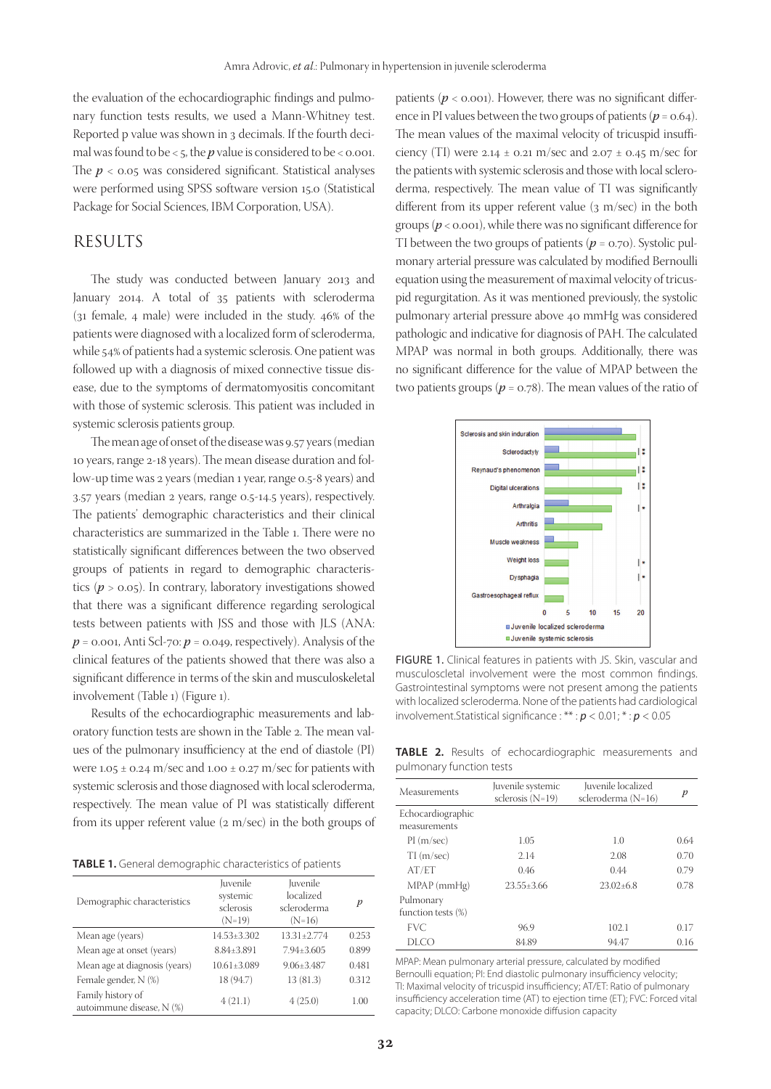the evaluation of the echocardiographic findings and pulmonary function tests results, we used a Mann-Whitney test. Reported p value was shown in 3 decimals. If the fourth decimal was found to be  $<$  5, the  $p$  value is considered to be  $<$  0.001. The *p* < 0.05 was considered significant. Statistical analyses were performed using SPSS software version 15.0 (Statistical Package for Social Sciences, IBM Corporation, USA).

## RESULTS

The study was conducted between January 2013 and January 2014. A total of 35 patients with scleroderma (31 female, 4 male) were included in the study. 46% of the patients were diagnosed with a localized form of scleroderma, while 54% of patients had a systemic sclerosis. One patient was followed up with a diagnosis of mixed connective tissue disease, due to the symptoms of dermatomyositis concomitant with those of systemic sclerosis. This patient was included in systemic sclerosis patients group.

The mean age of onset of the disease was 9.57 years (median 10 years, range 2-18 years). The mean disease duration and follow-up time was 2 years (median 1 year, range 0.5-8 years) and 3.57 years (median 2 years, range 0.5-14.5 years), respectively. The patients' demographic characteristics and their clinical characteristics are summarized in the Table 1. There were no statistically significant differences between the two observed groups of patients in regard to demographic characteristics  $(p > 0.05)$ . In contrary, laboratory investigations showed that there was a significant difference regarding serological tests between patients with JSS and those with JLS (ANA:  $p = 0.001$ , Anti Scl-70:  $p = 0.049$ , respectively). Analysis of the clinical features of the patients showed that there was also a significant difference in terms of the skin and musculoskeletal involvement (Table 1) (Figure 1).

Results of the echocardiographic measurements and laboratory function tests are shown in the Table 2. The mean values of the pulmonary insufficiency at the end of diastole (PI) were  $1.05 \pm 0.24$  m/sec and  $1.00 \pm 0.27$  m/sec for patients with systemic sclerosis and those diagnosed with local scleroderma, respectively. The mean value of PI was statistically different from its upper referent value (2 m/sec) in the both groups of

**TABLE 1.** General demographic characteristics of patients

| Demographic characteristics                    | Juvenile<br>systemic<br>sclerosis<br>$(N=19)$ | Juvenile<br>localized<br>scleroderma<br>$(N=16)$ | p     |
|------------------------------------------------|-----------------------------------------------|--------------------------------------------------|-------|
| Mean age (years)                               | 14.53±3.302                                   | 13.31+2.774                                      | 0.253 |
| Mean age at onset (years)                      | 8.84±3.891                                    | $7.94 \pm 3.605$                                 | 0.899 |
| Mean age at diagnosis (years)                  | $10.61 \pm 3.089$                             | $9.06 + 3.487$                                   | 0.481 |
| Female gender, N (%)                           | 18 (94.7)                                     | 13 (81.3)                                        | 0.312 |
| Family history of<br>autoimmune disease, N (%) | 4(21.1)                                       | 4(25.0)                                          | 1.00  |

patients  $(p < 0.001)$ . However, there was no significant difference in PI values between the two groups of patients  $(p = 0.64)$ . The mean values of the maximal velocity of tricuspid insufficiency (TI) were 2.14  $\pm$  0.21 m/sec and 2.07  $\pm$  0.45 m/sec for the patients with systemic sclerosis and those with local scleroderma, respectively. The mean value of TI was significantly different from its upper referent value (3 m/sec) in the both groups (*p* < 0.001), while there was no significant difference for TI between the two groups of patients ( $p = 0.70$ ). Systolic pulmonary arterial pressure was calculated by modified Bernoulli equation using the measurement of maximal velocity of tricuspid regurgitation. As it was mentioned previously, the systolic pulmonary arterial pressure above 40 mmHg was considered pathologic and indicative for diagnosis of PAH. The calculated MPAP was normal in both groups. Additionally, there was no significant difference for the value of MPAP between the two patients groups ( $p = 0.78$ ). The mean values of the ratio of



FIGURE 1. Clinical features in patients with JS. Skin, vascular and musculoscletal involvement were the most common findings. Gastrointestinal symptoms were not present among the patients with localized scleroderma. None of the patients had cardiological involvement.Statistical significance : \*\* : *p* < 0.01; \* : *p* < 0.05

**TABLE 2.** Results of echocardiographic measurements and pulmonary function tests

| Measurements                       | Juvenile systemic<br>sclerosis $(N=19)$ | Juvenile localized<br>scleroderma (N=16) | $\boldsymbol{p}$ |
|------------------------------------|-----------------------------------------|------------------------------------------|------------------|
| Echocardiographic<br>measurements  |                                         |                                          |                  |
| PI(m/sec)                          | 1.05                                    | 1.0                                      | 0.64             |
| $TI$ (m/sec)                       | 2.14                                    | 2.08                                     | 0.70             |
| AT/ET                              | 0.46                                    | 0.44                                     | 0.79             |
| $MPAP$ (mmHg)                      | $23.55 + 3.66$                          | $23.02 + 6.8$                            | 0.78             |
| Pulmonary<br>function tests $(\%)$ |                                         |                                          |                  |
| <b>FVC</b>                         | 96.9                                    | 102.1                                    | 0.17             |
| DLCO                               | 84.89                                   | 94.47                                    | 0.16             |

MPAP: Mean pulmonary arterial pressure, calculated by modified Bernoulli equation; PI: End diastolic pulmonary insufficiency velocity; TI: Maximal velocity of tricuspid insufficiency; AT/ET: Ratio of pulmonary insufficiency acceleration time (AT) to ejection time (ET); FVC: Forced vital capacity; DLCO: Carbone monoxide diffusion capacity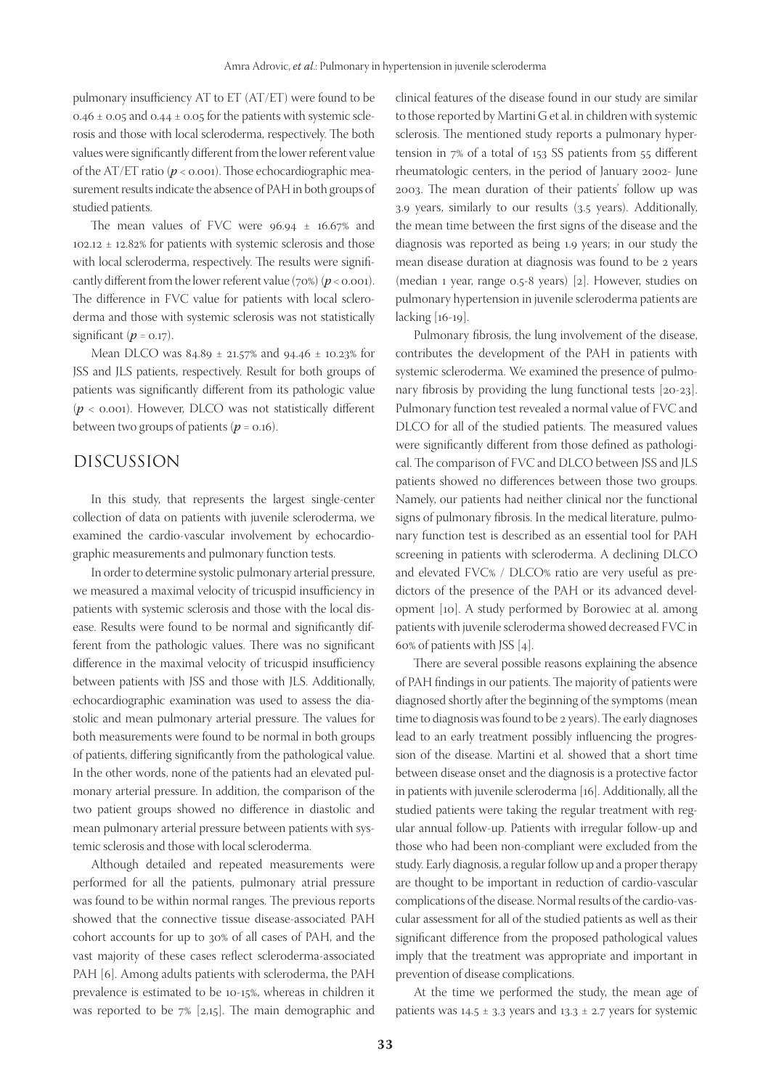pulmonary insufficiency AT to ET (AT/ET) were found to be 0.46  $\pm$  0.05 and 0.44  $\pm$  0.05 for the patients with systemic sclerosis and those with local scleroderma, respectively. The both values were significantly different from the lower referent value of the AT/ET ratio (*p* < 0.001). Those echocardiographic measurement results indicate the absence of PAH in both groups of studied patients.

The mean values of FVC were  $96.94 \pm 16.67\%$  and  $102.12 \pm 12.82\%$  for patients with systemic sclerosis and those with local scleroderma, respectively. The results were significantly different from the lower referent value (70%) ( $p < 0.001$ ). The difference in FVC value for patients with local scleroderma and those with systemic sclerosis was not statistically significant  $(p = 0.17)$ .

Mean DLCO was 84.89 ± 21.57% and 94.46 ± 10.23% for JSS and JLS patients, respectively. Result for both groups of patients was significantly different from its pathologic value (*p* < 0.001). However, DLCO was not statistically different between two groups of patients ( $p = 0.16$ ).

## DISCUSSION

In this study, that represents the largest single-center collection of data on patients with juvenile scleroderma, we examined the cardio-vascular involvement by echocardiographic measurements and pulmonary function tests.

In order to determine systolic pulmonary arterial pressure, we measured a maximal velocity of tricuspid insufficiency in patients with systemic sclerosis and those with the local disease. Results were found to be normal and significantly different from the pathologic values. There was no significant difference in the maximal velocity of tricuspid insufficiency between patients with JSS and those with JLS. Additionally, echocardiographic examination was used to assess the diastolic and mean pulmonary arterial pressure. The values for both measurements were found to be normal in both groups of patients, differing significantly from the pathological value. In the other words, none of the patients had an elevated pulmonary arterial pressure. In addition, the comparison of the two patient groups showed no difference in diastolic and mean pulmonary arterial pressure between patients with systemic sclerosis and those with local scleroderma.

Although detailed and repeated measurements were performed for all the patients, pulmonary atrial pressure was found to be within normal ranges. The previous reports showed that the connective tissue disease-associated PAH cohort accounts for up to 30% of all cases of PAH, and the vast majority of these cases reflect scleroderma-associated PAH [6]. Among adults patients with scleroderma, the PAH prevalence is estimated to be 10-15%, whereas in children it was reported to be 7% [2,15]. The main demographic and

clinical features of the disease found in our study are similar to those reported by Martini G et al. in children with systemic sclerosis. The mentioned study reports a pulmonary hypertension in 7% of a total of 153 SS patients from 55 different rheumatologic centers, in the period of January 2002- June 2003. The mean duration of their patients' follow up was 3.9 years, similarly to our results (3.5 years). Additionally, the mean time between the first signs of the disease and the diagnosis was reported as being 1.9 years; in our study the mean disease duration at diagnosis was found to be 2 years (median 1 year, range 0.5-8 years) [2]. However, studies on pulmonary hypertension in juvenile scleroderma patients are lacking [16-19].

Pulmonary fibrosis, the lung involvement of the disease, contributes the development of the PAH in patients with systemic scleroderma. We examined the presence of pulmonary fibrosis by providing the lung functional tests [20-23]. Pulmonary function test revealed a normal value of FVC and DLCO for all of the studied patients. The measured values were significantly different from those defined as pathological. The comparison of FVC and DLCO between JSS and JLS patients showed no differences between those two groups. Namely, our patients had neither clinical nor the functional signs of pulmonary fibrosis. In the medical literature, pulmonary function test is described as an essential tool for PAH screening in patients with scleroderma. A declining DLCO and elevated FVC% / DLCO% ratio are very useful as predictors of the presence of the PAH or its advanced development [10]. A study performed by Borowiec at al. among patients with juvenile scleroderma showed decreased FVC in 60% of patients with JSS [4].

There are several possible reasons explaining the absence of PAH findings in our patients. The majority of patients were diagnosed shortly after the beginning of the symptoms (mean time to diagnosis was found to be 2 years). The early diagnoses lead to an early treatment possibly influencing the progression of the disease. Martini et al. showed that a short time between disease onset and the diagnosis is a protective factor in patients with juvenile scleroderma [16]. Additionally, all the studied patients were taking the regular treatment with regular annual follow-up. Patients with irregular follow-up and those who had been non-compliant were excluded from the study. Early diagnosis, a regular follow up and a proper therapy are thought to be important in reduction of cardio-vascular complications of the disease. Normal results of the cardio-vascular assessment for all of the studied patients as well as their significant difference from the proposed pathological values imply that the treatment was appropriate and important in prevention of disease complications.

At the time we performed the study, the mean age of patients was  $14.5 \pm 3.3$  years and  $13.3 \pm 2.7$  years for systemic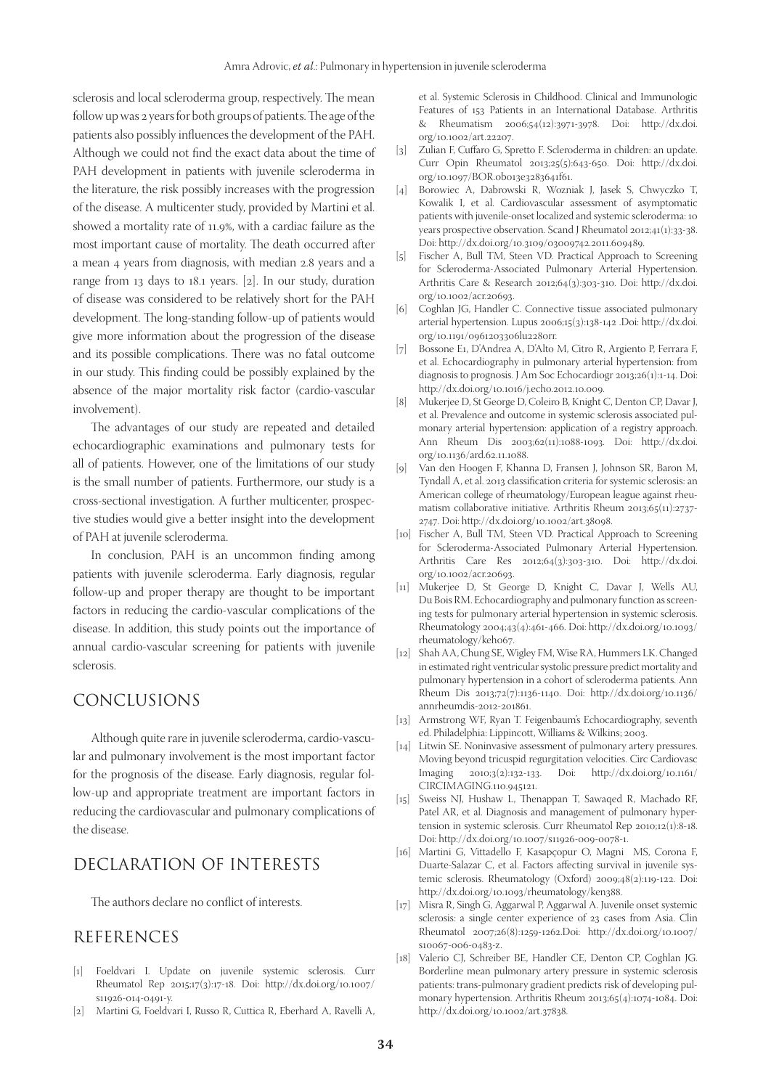sclerosis and local scleroderma group, respectively. The mean follow up was 2 years for both groups of patients. The age of the patients also possibly influences the development of the PAH. Although we could not find the exact data about the time of PAH development in patients with juvenile scleroderma in the literature, the risk possibly increases with the progression of the disease. A multicenter study, provided by Martini et al. showed a mortality rate of 11.9%, with a cardiac failure as the most important cause of mortality. The death occurred after a mean 4 years from diagnosis, with median 2.8 years and a range from 13 days to 18.1 years. [2]. In our study, duration of disease was considered to be relatively short for the PAH development. The long-standing follow-up of patients would give more information about the progression of the disease and its possible complications. There was no fatal outcome in our study. This finding could be possibly explained by the absence of the major mortality risk factor (cardio-vascular involvement).

The advantages of our study are repeated and detailed echocardiographic examinations and pulmonary tests for all of patients. However, one of the limitations of our study is the small number of patients. Furthermore, our study is a cross-sectional investigation. A further multicenter, prospective studies would give a better insight into the development of PAH at juvenile scleroderma.

In conclusion, PAH is an uncommon finding among patients with juvenile scleroderma. Early diagnosis, regular follow-up and proper therapy are thought to be important factors in reducing the cardio-vascular complications of the disease. In addition, this study points out the importance of annual cardio-vascular screening for patients with juvenile sclerosis.

## CONCLUSIONS

Although quite rare in juvenile scleroderma, cardio-vascular and pulmonary involvement is the most important factor for the prognosis of the disease. Early diagnosis, regular follow-up and appropriate treatment are important factors in reducing the cardiovascular and pulmonary complications of the disease.

## DECLARATION OF INTERESTS

The authors declare no conflict of interests.

## REFERENCES

- [1] Foeldvari I. Update on juvenile systemic sclerosis. Curr Rheumatol Rep 2015;17(3):17-18. Doi: http://dx.doi.org/10.1007/ s11926-014-0491-y.
- [2] Martini G, Foeldvari I, Russo R, Cuttica R, Eberhard A, Ravelli A,

et al. Systemic Sclerosis in Childhood. Clinical and Immunologic Features of 153 Patients in an International Database. Arthritis & Rheumatism 2006;54(12):3971-3978. Doi: http://dx.doi. org/10.1002/art.22207.

- [3] Zulian F, Cuffaro G, Spretto F. Scleroderma in children: an update. Curr Opin Rheumatol 2013;25(5):643-650. Doi: http://dx.doi. org/10.1097/BOR.0b013e3283641f61.
- [4] Borowiec A, Dabrowski R, Wozniak J, Jasek S, Chwyczko T, Kowalik I, et al. Cardiovascular assessment of asymptomatic patients with juvenile-onset localized and systemic scleroderma: 10 years prospective observation. Scand J Rheumatol 2012;41(1):33-38. Doi: http://dx.doi.org/10.3109/03009742.2011.609489.
- [5] Fischer A, Bull TM, Steen VD. Practical Approach to Screening for Scleroderma-Associated Pulmonary Arterial Hypertension. Arthritis Care & Research 2012;64(3):303-310. Doi: http://dx.doi. org/10.1002/acr.20693.
- [6] Coghlan JG, Handler C. Connective tissue associated pulmonary arterial hypertension. Lupus 2006;15(3):138-142 .Doi: http://dx.doi. org/10.1191/0961203306lu2280rr.
- [7] Bossone E1, D'Andrea A, D'Alto M, Citro R, Argiento P, Ferrara F, et al. Echocardiography in pulmonary arterial hypertension: from diagnosis to prognosis. J Am Soc Echocardiogr 2013;26(1):1-14. Doi: http://dx.doi.org/10.1016/j.echo.2012.10.009.
- [8] Mukerjee D, St George D, Coleiro B, Knight C, Denton CP, Davar J, et al. Prevalence and outcome in systemic sclerosis associated pulmonary arterial hypertension: application of a registry approach. Ann Rheum Dis 2003;62(11):1088-1093. Doi: http://dx.doi. org/10.1136/ard.62.11.1088.
- [9] Van den Hoogen F, Khanna D, Fransen J, Johnson SR, Baron M, Tyndall A, et al. 2013 classification criteria for systemic sclerosis: an American college of rheumatology/European league against rheumatism collaborative initiative. Arthritis Rheum 2013;65(11):2737- 2747. Doi: http://dx.doi.org/10.1002/art.38098.
- [10] Fischer A, Bull TM, Steen VD. Practical Approach to Screening for Scleroderma-Associated Pulmonary Arterial Hypertension. Arthritis Care Res 2012;64(3):303-310. Doi: http://dx.doi. org/10.1002/acr.20693.
- [11] Mukerjee D, St George D, Knight C, Davar J, Wells AU, Du Bois RM. Echocardiography and pulmonary function as screening tests for pulmonary arterial hypertension in systemic sclerosis. Rheumatology 2004;43(4):461-466. Doi: http://dx.doi.org/10.1093/ rheumatology/keh067.
- [12] Shah AA, Chung SE, Wigley FM, Wise RA, Hummers LK. Changed in estimated right ventricular systolic pressure predict mortality and pulmonary hypertension in a cohort of scleroderma patients. Ann Rheum Dis 2013;72(7):1136-1140. Doi: http://dx.doi.org/10.1136/ annrheumdis-2012-201861.
- [13] Armstrong WF, Ryan T. Feigenbaum's Echocardiography, seventh ed. Philadelphia: Lippincott, Williams & Wilkins; 2003.
- [14] Litwin SE. Noninvasive assessment of pulmonary artery pressures. Moving beyond tricuspid regurgitation velocities. Circ Cardiovasc<br>Imaging 2010;3(2):132-133. Doi: http://dx.doi.org/10.1161/ Imaging 2010;3(2):132-133. Doi: http://dx.doi.org/10.1161/ CIRCIMAGING.110.945121.
- [15] Sweiss NJ, Hushaw L, Thenappan T, Sawaqed R, Machado RF, Patel AR, et al. Diagnosis and management of pulmonary hypertension in systemic sclerosis. Curr Rheumatol Rep 2010;12(1):8-18. Doi: http://dx.doi.org/10.1007/s11926-009-0078-1.
- [16] Martini G, Vittadello F, Kasapçopur O, Magni MS, Corona F, Duarte-Salazar C, et al. Factors affecting survival in juvenile systemic sclerosis. Rheumatology (Oxford) 2009;48(2):119-122. Doi: http://dx.doi.org/10.1093/rheumatology/ken388.
- [17] Misra R, Singh G, Aggarwal P, Aggarwal A. Juvenile onset systemic sclerosis: a single center experience of 23 cases from Asia. Clin Rheumatol 2007;26(8):1259-1262.Doi: http://dx.doi.org/10.1007/ s10067-006-0483-z.
- [18] Valerio CJ, Schreiber BE, Handler CE, Denton CP, Coghlan JG. Borderline mean pulmonary artery pressure in systemic sclerosis patients: trans-pulmonary gradient predicts risk of developing pulmonary hypertension. Arthritis Rheum 2013;65(4):1074-1084. Doi: http://dx.doi.org/10.1002/art.37838.